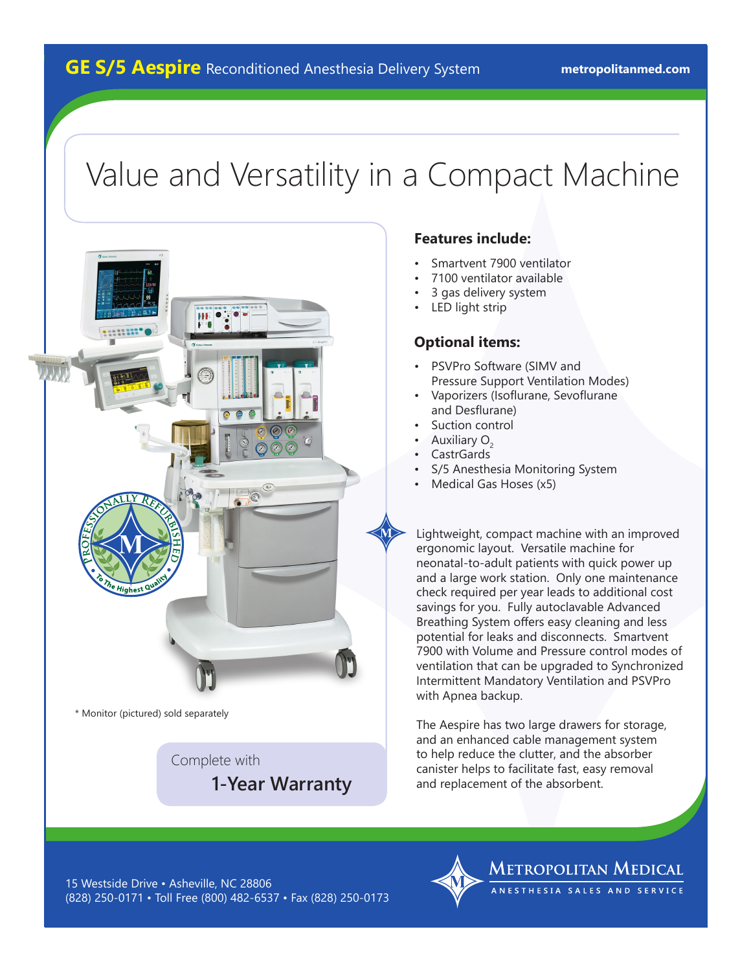# Value and Versatility in a Compact Machine



\* Monitor (pictured) sold separately

Complete with **1-Year Warranty**

## **Features include:**

- Smartvent 7900 ventilator
- 7100 ventilator available
- 3 gas delivery system
- LED light strip

### **Optional items:**

- PSVPro Software (SIMV and Pressure Support Ventilation Modes)
- Vaporizers (Isoflurane, Sevoflurane and Desflurane)
- Suction control
- Auxiliary O<sub>2</sub>
- CastrGards
- S/5 Anesthesia Monitoring System
- Medical Gas Hoses (x5)

Lightweight, compact machine with an improved Eignaning in the same that an an allegency of the state of the state of the set of the set of the set of the set of the *a* set of the *a* set of the *a* set of the *a* set of the *a* set of the *a* set of the *a* set of t neonatal-to-adult patients with quick power up and a large work station. Only one maintenance check required per year leads to additional cost savings for you. Fully autoclavable Advanced Breathing System offers easy cleaning and less potential for leaks and disconnects. Smartvent 7900 with Volume and Pressure control modes of ventilation that can be upgraded to Synchronized Intermittent Mandatory Ventilation and PSVPro with Apnea backup.

The Aespire has two large drawers for storage, and an enhanced cable management system to help reduce the clutter, and the absorber canister helps to facilitate fast, easy removal and replacement of the absorbent.

15 Westside Drive • Asheville, NC 28806 (828) 250-0171 • Toll Free (800) 482-6537 • Fax (828) 250-0173



**METROPOLITAN MEDICAL** NESTHESIA SALES AND SERVICE